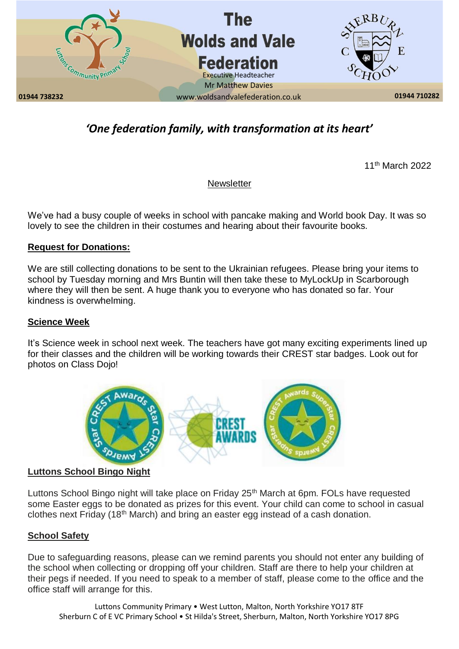

# *'One federation family, with transformation at its heart'*

11th March 2022

# **Newsletter**

We've had a busy couple of weeks in school with pancake making and World book Day. It was so lovely to see the children in their costumes and hearing about their favourite books.

# **Request for Donations:**

We are still collecting donations to be sent to the Ukrainian refugees. Please bring your items to school by Tuesday morning and Mrs Buntin will then take these to MyLockUp in Scarborough where they will then be sent. A huge thank you to everyone who has donated so far. Your kindness is overwhelming.

#### **Science Week**

It's Science week in school next week. The teachers have got many exciting experiments lined up for their classes and the children will be working towards their CREST star badges. Look out for photos on Class Dojo!



**Luttons School Bingo Night**

Luttons School Bingo night will take place on Friday 25<sup>th</sup> March at 6pm. FOLs have requested some Easter eggs to be donated as prizes for this event. Your child can come to school in casual clothes next Friday (18<sup>th</sup> March) and bring an easter egg instead of a cash donation.

# **School Safety**

Due to safeguarding reasons, please can we remind parents you should not enter any building of the school when collecting or dropping off your children. Staff are there to help your children at their pegs if needed. If you need to speak to a member of staff, please come to the office and the office staff will arrange for this.